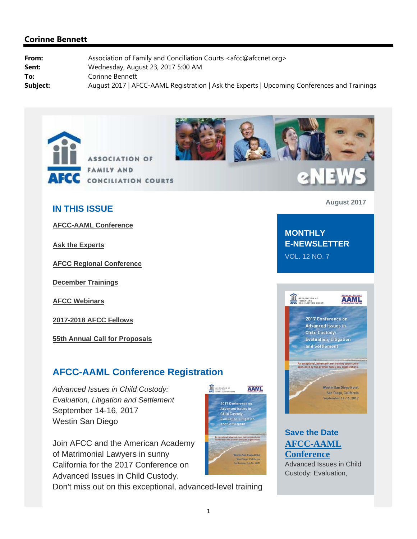



# eNEWS

#### **IN THIS ISSUE**

**AFCC-AAML Conference**

**Ask the Experts**

**AFCC Regional Conference**

**December Trainings**

**AFCC Webinars**

**2017-2018 AFCC Fellows**

**55th Annual Call for Proposals**

## **AFCC-AAML Conference Registration**

*Advanced Issues in Child Custody: Evaluation, Litigation and Settlement*  September 14-16, 2017 Westin San Diego

Join AFCC and the American Academy of Matrimonial Lawyers in sunny California for the 2017 Conference on Advanced Issues in Child Custody.

Don't miss out on this exceptional, advanced-level training



**August 2017**

#### **MONTHLY E-NEWSLETTER** VOL. 12 NO. 7



## **Save the Date AFCC-AAML Conference**

Advanced Issues in Child Custody: Evaluation,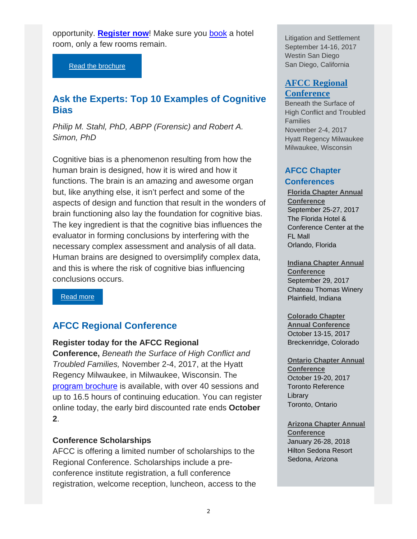opportunity. **Register now!** Make sure you book a hotel room, only a few rooms remain.

Read the brochure

## **Ask the Experts: Top 10 Examples of Cognitive Bias**

*Philip M. Stahl, PhD, ABPP (Forensic) and Robert A. Simon, PhD* 

Cognitive bias is a phenomenon resulting from how the human brain is designed, how it is wired and how it functions. The brain is an amazing and awesome organ but, like anything else, it isn't perfect and some of the aspects of design and function that result in the wonders of brain functioning also lay the foundation for cognitive bias. The key ingredient is that the cognitive bias influences the evaluator in forming conclusions by interfering with the necessary complex assessment and analysis of all data. Human brains are designed to oversimplify complex data, and this is where the risk of cognitive bias influencing conclusions occurs.

Read more

## **AFCC Regional Conference**

#### **Register today for the AFCC Regional**

**Conference,** *Beneath the Surface of High Conflict and Troubled Families,* November 2-4, 2017, at the Hyatt Regency Milwaukee, in Milwaukee, Wisconsin. The program brochure is available, with over 40 sessions and up to 16.5 hours of continuing education. You can register online today, the early bird discounted rate ends **October 2**.

#### **Conference Scholarships**

AFCC is offering a limited number of scholarships to the Regional Conference. Scholarships include a preconference institute registration, a full conference registration, welcome reception, luncheon, access to the Litigation and Settlement September 14-16, 2017 Westin San Diego San Diego, California

#### **AFCC Regional Conference**

Beneath the Surface of High Conflict and Troubled Families November 2-4, 2017 Hyatt Regency Milwaukee Milwaukee, Wisconsin

#### **AFCC Chapter Conferences**

**Florida Chapter Annual Conference** September 25-27, 2017 The Florida Hotel & Conference Center at the FL Mall Orlando, Florida

**Indiana Chapter Annual Conference** September 29, 2017 Chateau Thomas Winery Plainfield, Indiana

**Colorado Chapter Annual Conference**  October 13-15, 2017 Breckenridge, Colorado

**Ontario Chapter Annual Conference**  October 19-20, 2017 Toronto Reference Library Toronto, Ontario

**Arizona Chapter Annual Conference**  January 26-28, 2018 Hilton Sedona Resort Sedona, Arizona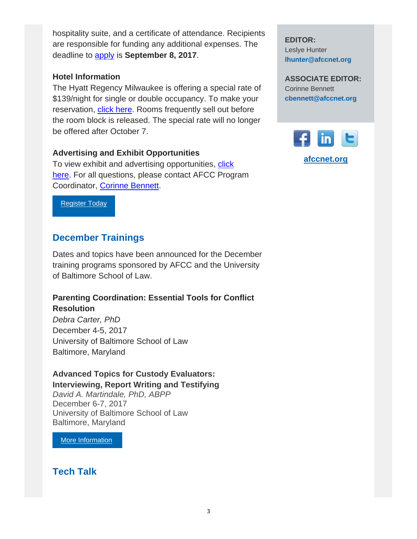hospitality suite, and a certificate of attendance. Recipients are responsible for funding any additional expenses. The deadline to apply is **September 8, 2017**.

#### **Hotel Information**

The Hyatt Regency Milwaukee is offering a special rate of \$139/night for single or double occupancy. To make your reservation, click here. Rooms frequently sell out before the room block is released. The special rate will no longer be offered after October 7.

#### **Advertising and Exhibit Opportunities**

To view exhibit and advertising opportunities, click here. For all questions, please contact AFCC Program Coordinator, Corinne Bennett.

Register Today

## **December Trainings**

Dates and topics have been announced for the December training programs sponsored by AFCC and the University of Baltimore School of Law.

## **Parenting Coordination: Essential Tools for Conflict Resolution**

*Debra Carter, PhD* December 4-5, 2017 University of Baltimore School of Law Baltimore, Maryland

## **Advanced Topics for Custody Evaluators:**

**Interviewing, Report Writing and Testifying** *David A. Martindale, PhD, ABPP* December 6-7, 2017 University of Baltimore School of Law Baltimore, Maryland

More Information

**Tech Talk** 

**EDITOR:** Leslye Hunter **lhunter@afccnet.org**

**ASSOCIATE EDITOR:** Corinne Bennett **cbennett@afccnet.org**

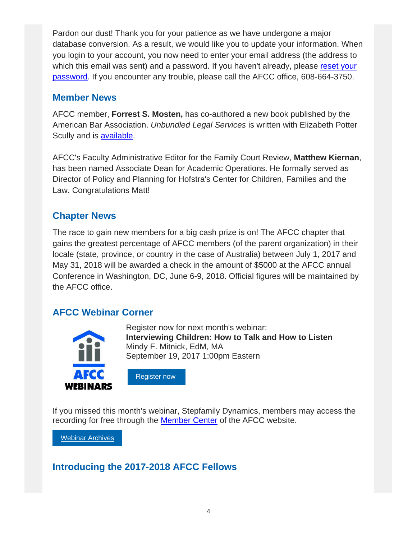Pardon our dust! Thank you for your patience as we have undergone a major database conversion. As a result, we would like you to update your information. When you login to your account, you now need to enter your email address (the address to which this email was sent) and a password. If you haven't already, please reset your password. If you encounter any trouble, please call the AFCC office, 608-664-3750.

## **Member News**

AFCC member, **Forrest S. Mosten,** has co-authored a new book published by the American Bar Association. *Unbundled Legal Services* is written with Elizabeth Potter Scully and is available.

AFCC's Faculty Administrative Editor for the Family Court Review, **Matthew Kiernan**, has been named Associate Dean for Academic Operations. He formally served as Director of Policy and Planning for Hofstra's Center for Children, Families and the Law. Congratulations Matt!

# **Chapter News**

The race to gain new members for a big cash prize is on! The AFCC chapter that gains the greatest percentage of AFCC members (of the parent organization) in their locale (state, province, or country in the case of Australia) between July 1, 2017 and May 31, 2018 will be awarded a check in the amount of \$5000 at the AFCC annual Conference in Washington, DC, June 6-9, 2018. Official figures will be maintained by the AFCC office.

# **AFCC Webinar Corner**



Register now for next month's webinar: **Interviewing Children: How to Talk and How to Listen** Mindy F. Mitnick, EdM, MA September 19, 2017 1:00pm Eastern



If you missed this month's webinar, Stepfamily Dynamics, members may access the recording for free through the Member Center of the AFCC website.

Webinar Archives

# **Introducing the 2017-2018 AFCC Fellows**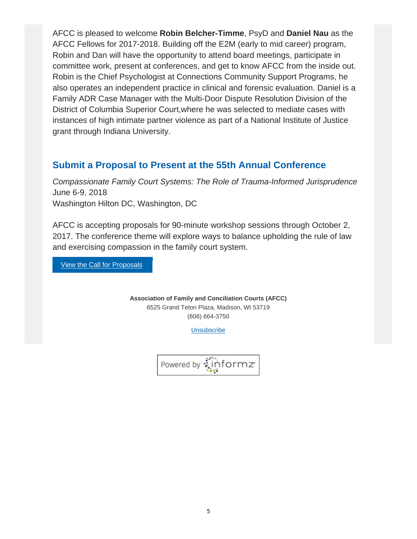AFCC is pleased to welcome **Robin Belcher-Timme**, PsyD and **Daniel Nau** as the AFCC Fellows for 2017-2018. Building off the E2M (early to mid career) program, Robin and Dan will have the opportunity to attend board meetings, participate in committee work, present at conferences, and get to know AFCC from the inside out. Robin is the Chief Psychologist at Connections Community Support Programs, he also operates an independent practice in clinical and forensic evaluation. Daniel is a Family ADR Case Manager with the Multi-Door Dispute Resolution Division of the District of Columbia Superior Court,where he was selected to mediate cases with instances of high intimate partner violence as part of a National Institute of Justice grant through Indiana University.

# **Submit a Proposal to Present at the 55th Annual Conference**

*Compassionate Family Court Systems: The Role of Trauma-Informed Jurisprudence* June 6-9, 2018 Washington Hilton DC, Washington, DC

AFCC is accepting proposals for 90-minute workshop sessions through October 2, 2017. The conference theme will explore ways to balance upholding the rule of law and exercising compassion in the family court system.

**View the Call for Proposals** 

**Association of Family and Conciliation Courts (AFCC)** 6525 Grand Teton Plaza, Madison, WI 53719 (608) 664-3750

Unsubscribe

Powered by : informz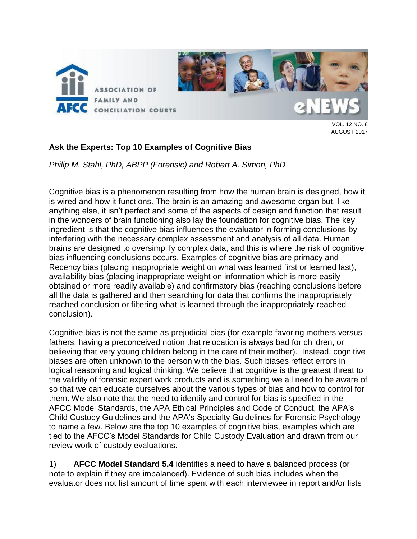

VOL. 12 NO. 8 AUGUST 2017

#### **Ask the Experts: Top 10 Examples of Cognitive Bias**

*Philip M. Stahl, PhD, ABPP (Forensic) and Robert A. Simon, PhD*

Cognitive bias is a phenomenon resulting from how the human brain is designed, how it is wired and how it functions. The brain is an amazing and awesome organ but, like anything else, it isn't perfect and some of the aspects of design and function that result in the wonders of brain functioning also lay the foundation for cognitive bias. The key ingredient is that the cognitive bias influences the evaluator in forming conclusions by interfering with the necessary complex assessment and analysis of all data. Human brains are designed to oversimplify complex data, and this is where the risk of cognitive bias influencing conclusions occurs. Examples of cognitive bias are primacy and Recency bias (placing inappropriate weight on what was learned first or learned last), availability bias (placing inappropriate weight on information which is more easily obtained or more readily available) and confirmatory bias (reaching conclusions before all the data is gathered and then searching for data that confirms the inappropriately reached conclusion or filtering what is learned through the inappropriately reached conclusion).

Cognitive bias is not the same as prejudicial bias (for example favoring mothers versus fathers, having a preconceived notion that relocation is always bad for children, or believing that very young children belong in the care of their mother). Instead, cognitive biases are often unknown to the person with the bias. Such biases reflect errors in logical reasoning and logical thinking. We believe that cognitive is the greatest threat to the validity of forensic expert work products and is something we all need to be aware of so that we can educate ourselves about the various types of bias and how to control for them. We also note that the need to identify and control for bias is specified in the AFCC Model Standards, the APA Ethical Principles and Code of Conduct, the APA's Child Custody Guidelines and the APA's Specialty Guidelines for Forensic Psychology to name a few. Below are the top 10 examples of cognitive bias, examples which are tied to the AFCC's Model Standards for Child Custody Evaluation and drawn from our review work of custody evaluations.

1) **AFCC Model Standard 5.4** identifies a need to have a balanced process (or note to explain if they are imbalanced). Evidence of such bias includes when the evaluator does not list amount of time spent with each interviewee in report and/or lists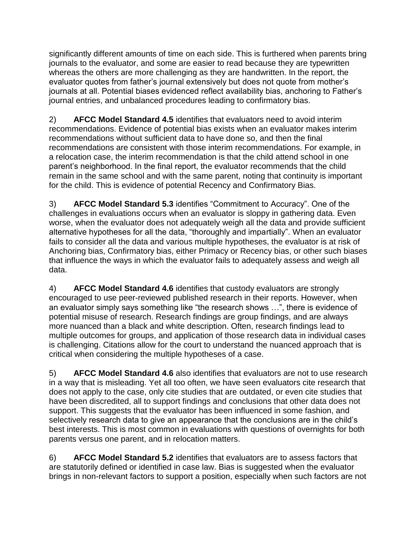significantly different amounts of time on each side. This is furthered when parents bring journals to the evaluator, and some are easier to read because they are typewritten whereas the others are more challenging as they are handwritten. In the report, the evaluator quotes from father's journal extensively but does not quote from mother's journals at all. Potential biases evidenced reflect availability bias, anchoring to Father's journal entries, and unbalanced procedures leading to confirmatory bias.

2) **AFCC Model Standard 4.5** identifies that evaluators need to avoid interim recommendations. Evidence of potential bias exists when an evaluator makes interim recommendations without sufficient data to have done so, and then the final recommendations are consistent with those interim recommendations. For example, in a relocation case, the interim recommendation is that the child attend school in one parent's neighborhood. In the final report, the evaluator recommends that the child remain in the same school and with the same parent, noting that continuity is important for the child. This is evidence of potential Recency and Confirmatory Bias.

3) **AFCC Model Standard 5.3** identifies "Commitment to Accuracy". One of the challenges in evaluations occurs when an evaluator is sloppy in gathering data. Even worse, when the evaluator does not adequately weigh all the data and provide sufficient alternative hypotheses for all the data, "thoroughly and impartially". When an evaluator fails to consider all the data and various multiple hypotheses, the evaluator is at risk of Anchoring bias, Confirmatory bias, either Primacy or Recency bias, or other such biases that influence the ways in which the evaluator fails to adequately assess and weigh all data.

4) **AFCC Model Standard 4.6** identifies that custody evaluators are strongly encouraged to use peer-reviewed published research in their reports. However, when an evaluator simply says something like "the research shows …", there is evidence of potential misuse of research. Research findings are group findings, and are always more nuanced than a black and white description. Often, research findings lead to multiple outcomes for groups, and application of those research data in individual cases is challenging. Citations allow for the court to understand the nuanced approach that is critical when considering the multiple hypotheses of a case.

5) **AFCC Model Standard 4.6** also identifies that evaluators are not to use research in a way that is misleading. Yet all too often, we have seen evaluators cite research that does not apply to the case, only cite studies that are outdated, or even cite studies that have been discredited, all to support findings and conclusions that other data does not support. This suggests that the evaluator has been influenced in some fashion, and selectively research data to give an appearance that the conclusions are in the child's best interests. This is most common in evaluations with questions of overnights for both parents versus one parent, and in relocation matters.

6) **AFCC Model Standard 5.2** identifies that evaluators are to assess factors that are statutorily defined or identified in case law. Bias is suggested when the evaluator brings in non-relevant factors to support a position, especially when such factors are not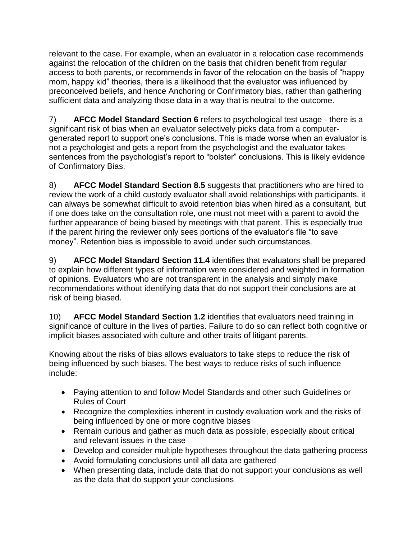relevant to the case. For example, when an evaluator in a relocation case recommends against the relocation of the children on the basis that children benefit from regular access to both parents, or recommends in favor of the relocation on the basis of "happy mom, happy kid" theories, there is a likelihood that the evaluator was influenced by preconceived beliefs, and hence Anchoring or Confirmatory bias, rather than gathering sufficient data and analyzing those data in a way that is neutral to the outcome.

7) **AFCC Model Standard Section 6** refers to psychological test usage - there is a significant risk of bias when an evaluator selectively picks data from a computergenerated report to support one's conclusions. This is made worse when an evaluator is not a psychologist and gets a report from the psychologist and the evaluator takes sentences from the psychologist's report to "bolster" conclusions. This is likely evidence of Confirmatory Bias.

8) **AFCC Model Standard Section 8.5** suggests that practitioners who are hired to review the work of a child custody evaluator shall avoid relationships with participants. it can always be somewhat difficult to avoid retention bias when hired as a consultant, but if one does take on the consultation role, one must not meet with a parent to avoid the further appearance of being biased by meetings with that parent. This is especially true if the parent hiring the reviewer only sees portions of the evaluator's file "to save money". Retention bias is impossible to avoid under such circumstances.

9) **AFCC Model Standard Section 11.4** identifies that evaluators shall be prepared to explain how different types of information were considered and weighted in formation of opinions. Evaluators who are not transparent in the analysis and simply make recommendations without identifying data that do not support their conclusions are at risk of being biased.

10) **AFCC Model Standard Section 1.2** identifies that evaluators need training in significance of culture in the lives of parties. Failure to do so can reflect both cognitive or implicit biases associated with culture and other traits of litigant parents.

Knowing about the risks of bias allows evaluators to take steps to reduce the risk of being influenced by such biases. The best ways to reduce risks of such influence include:

- Paying attention to and follow Model Standards and other such Guidelines or Rules of Court
- Recognize the complexities inherent in custody evaluation work and the risks of being influenced by one or more cognitive biases
- Remain curious and gather as much data as possible, especially about critical and relevant issues in the case
- Develop and consider multiple hypotheses throughout the data gathering process
- Avoid formulating conclusions until all data are gathered
- When presenting data, include data that do not support your conclusions as well as the data that do support your conclusions